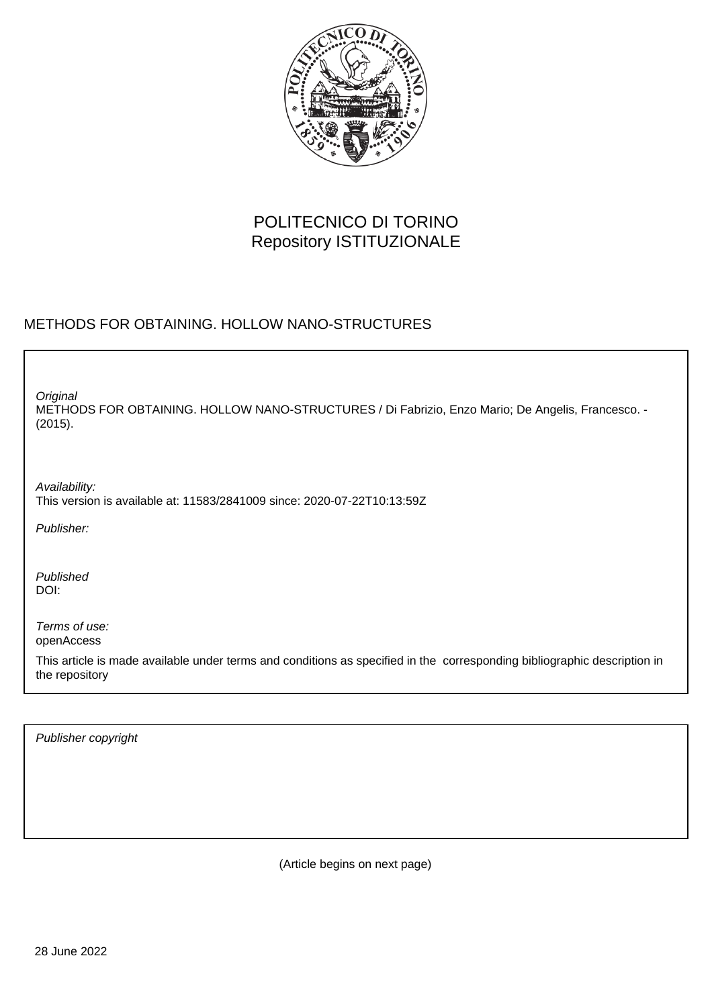

# POLITECNICO DI TORINO Repository ISTITUZIONALE

## METHODS FOR OBTAINING. HOLLOW NANO-STRUCTURES

METHODS FOR OBTAINING. HOLLOW NANO-STRUCTURES / Di Fabrizio, Enzo Mario; De Angelis, Francesco. - (2015). **Original** 

Availability: This version is available at: 11583/2841009 since: 2020-07-22T10:13:59Z

Publisher:

Published DOI:

Terms of use: openAccess

This article is made available under terms and conditions as specified in the corresponding bibliographic description in the repository

Publisher copyright

(Article begins on next page)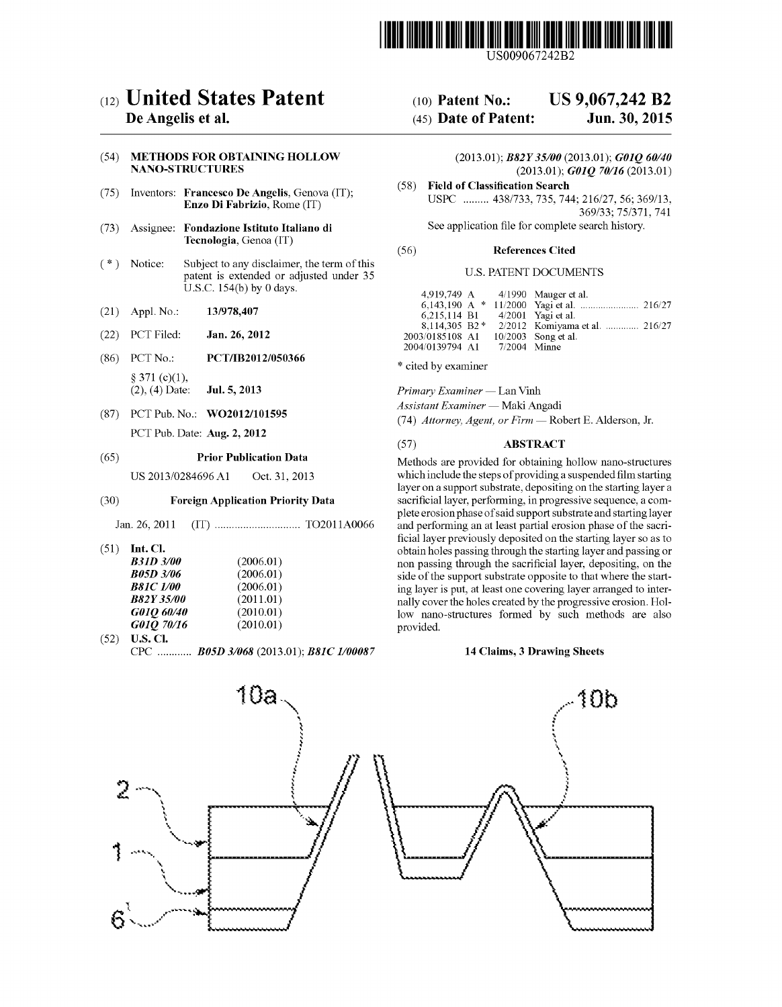

USOO9067242B2

# (12) United States Patent

## De Angelis et al.

#### (54) METHODS FOR OBTAINING HOLLOW NANO-STRUCTURES

- (75) Inventors: Francesco De Angelis, Genova (IT): Enzo Di Fabrizio, Rome (IT)
- (73) Assignee: Fondazione Istituto Italiano di Tecnologia, Genoa (IT)
- (\*) Notice: Subject to any disclaimer, the term of this patent is extended or adjusted under 35 U.S.C. 154(b) by 0 days.
- (21) Appl. No.:  $13/978,407$
- (22) PCT Filed: Jan. 26, 2012
- (86) PCT No.: PCT/IB2012/050366  $§ 371 (c)(1),$ (2), (4) Date: Jul. 5, 2013
- (87) PCT Pub. No.: WO2O12/1O1595 PCT Pub. Date: Aug. 2, 2012

#### (65) Prior Publication Data

US 2013/0284696 A1 Oct. 31, 2013

#### (30) Foreign Application Priority Data

Jan. 26, 2011 (IT) .............................. TO2O11 AO066

 $(51)$  Int. Cl.

| <b>B31D 3/00</b> | (2006.01) |
|------------------|-----------|
| <b>B05D 3/06</b> | (2006.01) |
| <b>B81C 1/00</b> | (2006.01) |
| <b>B82Y35/00</b> | (2011.01) |
| G010 60/40       | (2010.01) |
| G01Q 70/16       | (2010.01) |

 $(52)$  **U.S. Cl.** CPC ............ B05D3/068 (2013.01); B8IC I/00087

# (10) Patent No.: US 9,067,242 B2<br>(45) Date of Patent: Jun. 30, 2015

## $(45)$  Date of Patent:

(2013.01); B82Y 35/00 (2013.01); G01Q 60/40  $(2013.01);$  GO1Q 70/16  $(2013.01)$ 

(58) Field of Classification Search USPC ......... 438/733, 735, 744; 216/27,56; 369/13, 369/33; 75/371,741

See application file for complete search history.

#### (56) References Cited

#### U.S. PATENT DOCUMENTS

|                 |                | 4,919,749 A 4/1990 Mauger et al.              |
|-----------------|----------------|-----------------------------------------------|
|                 |                |                                               |
| 6.215.114 B1    |                | 4/2001 Yagi et al.                            |
|                 |                | 8.114.305 B2 * 2/2012 Komiyama et al.  216/27 |
| 2003/0185108 A1 |                | 10/2003 Song et al.                           |
| 2004/0139794 A1 | $7/2004$ Minne |                                               |

\* cited by examiner

Primary Examiner — Lan Vinh

Assistant Examiner — Maki Angadi

(74) Attorney, Agent, or Firm — Robert E. Alderson, Jr.

#### (57) ABSTRACT

Methods are provided for obtaining hollow nano-structures which include the steps of providing a suspended film starting layer on a support substrate, depositing on the starting layer a sacrificial layer, performing, in progressive sequence, a com plete erosion phase of said Support Substrate and starting layer and performing an at least partial erosion phase of the sacri ficial layer previously deposited on the starting layer so as to obtain holes passing through the starting layer and passing or non passing through the sacrificial layer, depositing, on the side of the support substrate opposite to that where the start ing layer is put, at least one covering layer arranged to inter nally cover the holes created by the progressive erosion. Hol low nano-structures formed by Such methods are also provided.

#### 14 Claims, 3 Drawing Sheets

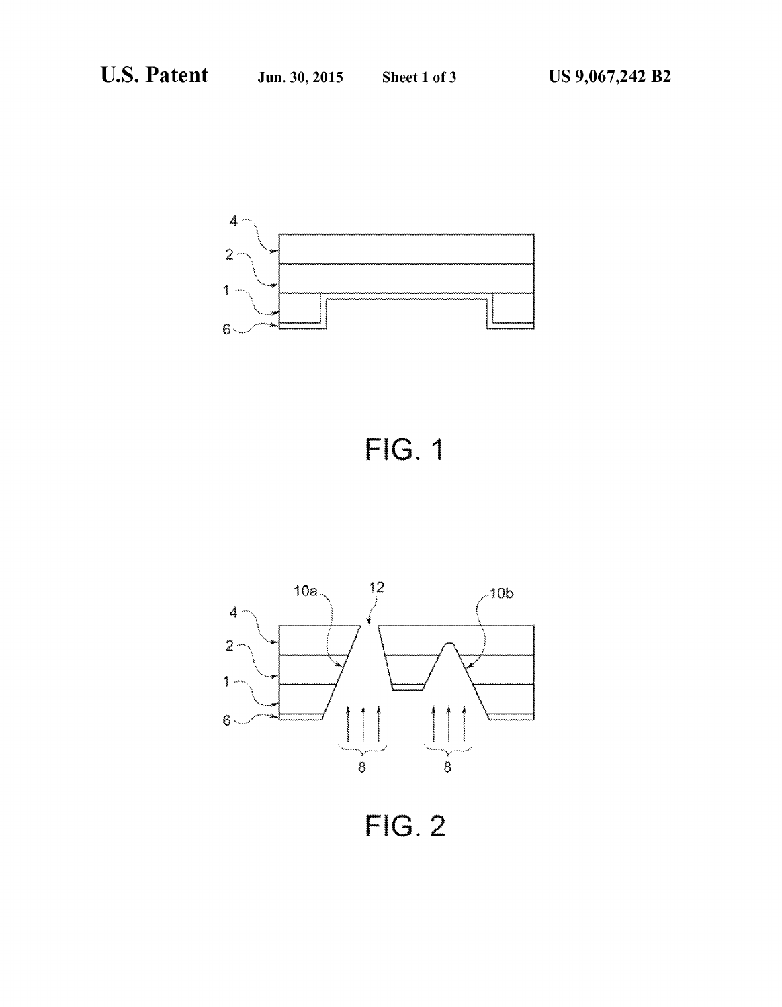





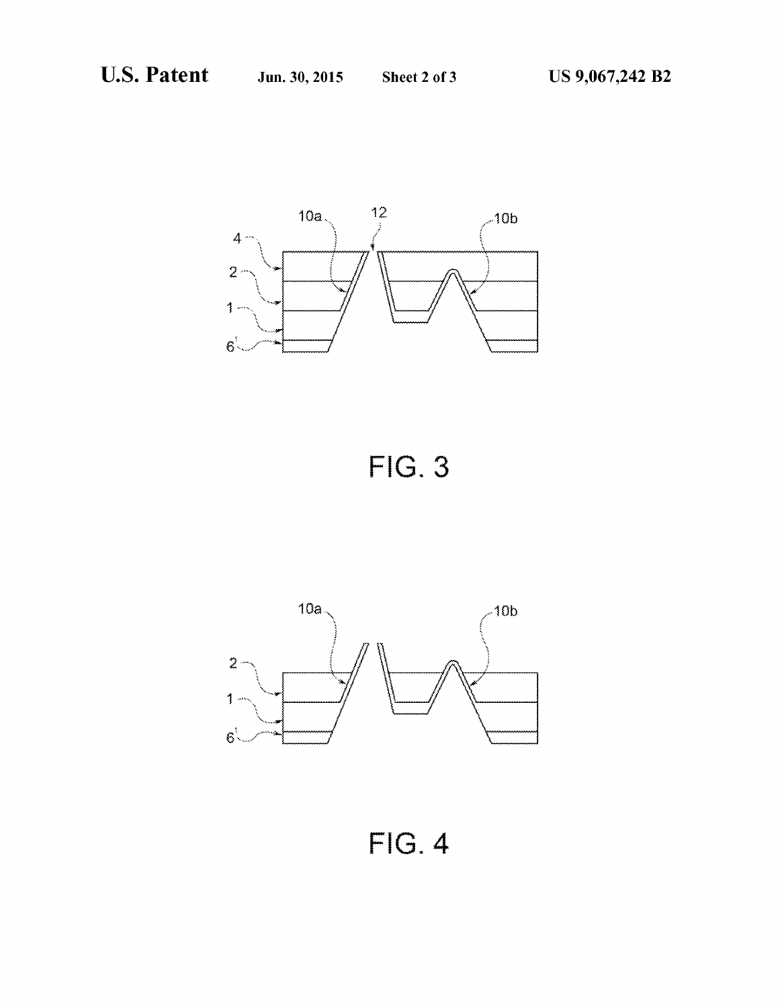

**FIG. 3** 



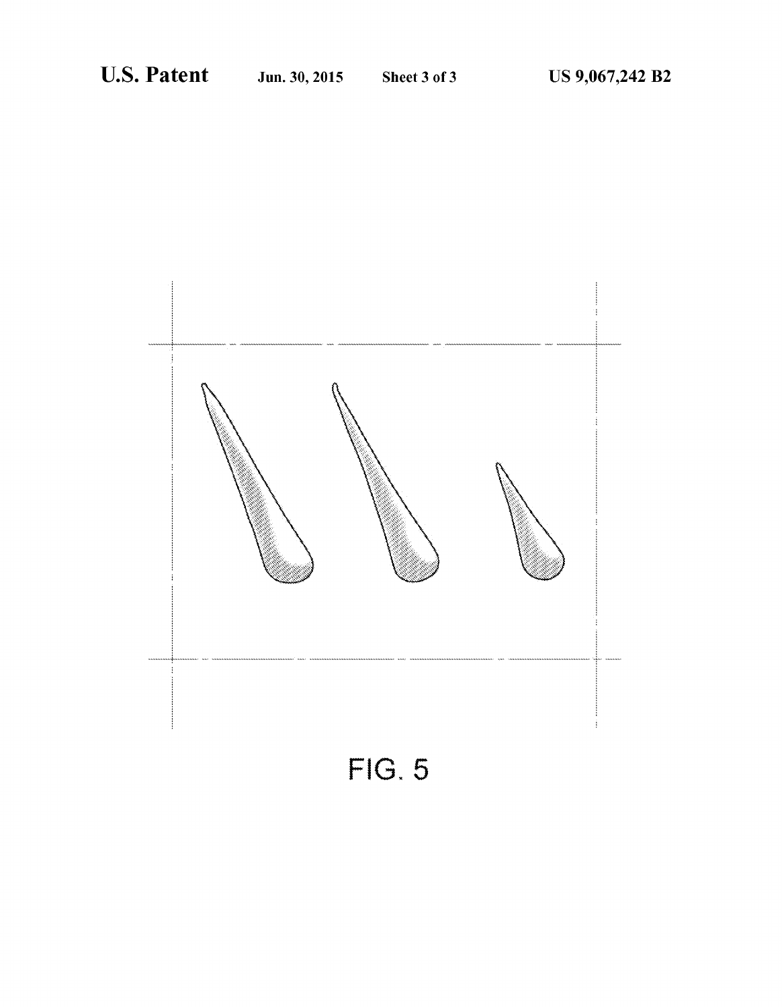

 $FIG. 5$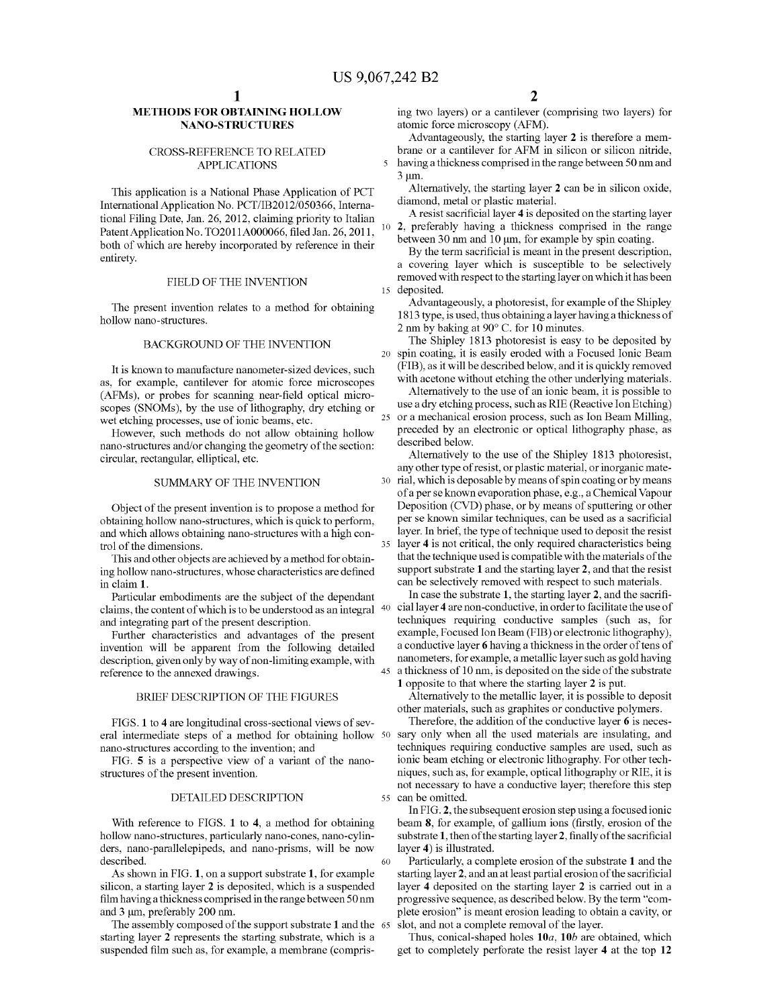10

 $\overline{\mathbf{S}}$ 

60

### METHODS FOR OBTAINING. HOLLOW NANO-STRUCTURES

#### CROSS-REFERENCE TO RELATED APPLICATIONS

This application is a National Phase Application of PCT International Application No. PCT/IB2012/050366, Interna tional Filing Date, Jan. 26, 2012, claiming priority to Italian Patent Application No. TO2011A000066, filed Jan. 26, 2011, both of which are hereby incorporated by reference in their entirety.

#### FIELD OF THE INVENTION

The present invention relates to a method for obtaining hollow nano-structures.

### BACKGROUND OF THE INVENTION

It is known to manufacture nanometer-sized devices, such as, for example, cantilever for atomic force microscopes (AFMs), or probes for scanning near-field optical micro scopes (SNOMs), by the use of lithography, dry etching or wet etching processes, use of ionic beams, etc.

However, such methods do not allow obtaining hollow nano-structures and/or changing the geometry of the section: circular, rectangular, elliptical, etc.

#### SUMMARY OF THE INVENTION

Object of the present invention is to propose a method for obtaining hollow nano-structures, which is quick to perform, and which allows obtaining nano-structures with a high con trol of the dimensions.

This and other objects are achieved by a method for obtain ing hollow nano-structures, whose characteristics are defined in claim 1.

Particular embodiments are the subject of the dependant and integrating part of the present description.<br>Further characteristics and advantages of the present

invention will be apparent from the following detailed description, given only by way of non-limiting example, with reference to the annexed drawings.

#### BRIEF DESCRIPTION OF THE FIGURES

FIGS. 1 to 4 are longitudinal cross-sectional views of sev eral intermediate steps of a method for obtaining hollow 50 nano-structures according to the invention; and

FIG. 5 is a perspective view of a variant of the nano structures of the present invention.

#### DETAILED DESCRIPTION

With reference to FIGS. 1 to 4, a method for obtaining hollow nano-structures, particularly nano-cones, nano-cylinders, nano-parallelepipeds, and nano-prisms, will be now described.<br>As shown in FIG. 1, on a support substrate 1, for example

silicon, a starting layer 2 is deposited, which is a suspended film having a thickness comprised in the range between 50 nm and 3 um, preferably 200 nm.

The assembly composed of the support substrate 1 and the 65 starting layer 2 represents the starting substrate, which is a suspended film such as, for example, a membrane (compris-

ing two layers) or a cantilever (comprising two layers) for atomic force microscopy (AFM).

Advantageously, the starting layer 2 is therefore a mem brane or a cantilever for AFM in silicon or silicon nitride, having a thickness comprised in the range between 50 nm and  $3 \mu m$ .

Alternatively, the starting layer 2 can be in silicon oxide, diamond, metal or plastic material.

A resist sacrificial layer 4 is deposited on the starting layer 2, preferably having a thickness comprised in the range between 30 nm and 10 um, for example by spin coating.

15 deposited. By the term sacrificial is meant in the present description, a covering layer which is susceptible to be selectively removed with respect to the starting layer on which it has been

Advantageously, a photoresist, for example of the Shipley 1813 type, is used, thus obtaining a layer having a thickness of 2 nm by baking at 90° C. for 10 minutes.

The Shipley 1813 photoresist is easy to be deposited by spin coating, it is easily eroded with a Focused Ionic Beam (FIB), as it will be described below, and it is quickly removed with acetone without etching the other underlying materials.

25 or a mechanical erosion process, such as Ion Beam Milling, Alternatively to the use of an ionic beam, it is possible to use a dry etching process. Such as RIE (Reactive Ion Etching) preceded by an electronic or optical lithography phase, as described below.

30 rial, which is deposable by means of spin coating or by means 35 layer 4 is not critical, the only required characteristics being Alternatively to the use of the Shipley 1813 photoresist, any other type of resist, or plastic material, or inorganic mate of a perse known evaporation phase, e.g., a Chemical Vapour Deposition (CVD) phase, or by means of sputtering or other per se known similar techniques, can be used as a sacrificial layer. In brief, the type of technique used to deposit the resist that the technique used is compatible with the materials of the support substrate 1 and the starting layer 2, and that the resist can be selectively removed with respect to such materials.

40 cial layer 4 are non-conductive, in order to facilitate the use of 45 a thickness of 10 nm, is deposited on the side of the substrate In case the substrate 1, the starting layer 2, and the sacrifitechniques requiring conductive samples (such as, for example, Focused Ion Beam (FIB) or electronic lithography), a conductive layer 6 having a thickness in the order of tens of nanometers, for example, a metallic layer Such as gold having

1 opposite to that where the starting layer 2 is put. Alternatively to the metallic layer, it is possible to deposit other materials, such as graphites or conductive polymers.

55 can be omitted. Therefore, the addition of the conductive layer 6 is neces sary only when all the used materials are insulating, and techniques requiring conductive samples are used, such as ionic beam etching or electronic lithography. For other tech niques, such as, for example, optical lithography or RIE, it is not necessary to have a conductive layer; therefore this step

In FIG. 2, the subsequent erosion step using a focused ionic beam 8, for example, of gallium ions (firstly, erosion of the substrate 1, then of the starting layer 2, finally of the sacrificial layer 4) is illustrated.

Particularly, a complete erosion of the substrate 1 and the starting layer 2, and an at least partial erosion of the sacrificial layer 4 deposited on the starting layer 2 is carried out in a progressive sequence, as described below. By the term "com plete erosion' is meant erosion leading to obtain a cavity, or slot, and not a complete removal of the layer.

Thus, conical-shaped holes  $10a$ ,  $10b$  are obtained, which get to completely perforate the resist layer 4 at the top 12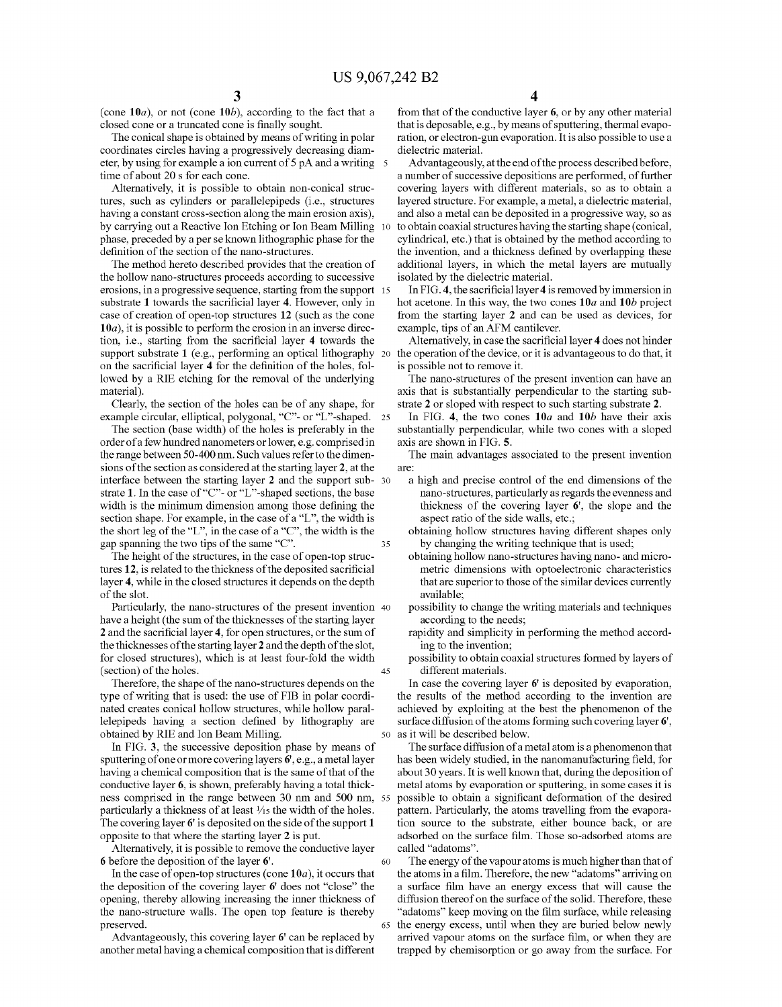10

50

60

65

(cone  $10a$ ), or not (cone  $10b$ ), according to the fact that a closed cone or a truncated cone is finally sought.<br>The conical shape is obtained by means of writing in polar

coordinates circles having a progressively decreasing diameter, by using for example a ion current of 5 pA and a writing 5 time of about 20 s for each cone.

Alternatively, it is possible to obtain non-conical struc tures, such as cylinders or parallelepipeds (i.e., structures having a constant cross-section along the main erosion axis), by carrying out a Reactive Ion Etching or Ion Beam Milling phase, preceded by a per se known lithographic phase for the definition of the section of the nano-structures.

The method hereto described provides that the creation of the hollow nano-structures proceeds according to Successive erosions, in a progressive sequence, starting from the Support 15 substrate 1 towards the sacrificial layer 4. However, only in case of creation of open-top structures 12 (such as the cone  $10a$ , it is possible to perform the erosion in an inverse direction, i.e., starting from the sacrificial layer 4 towards the support substrate 1 (e.g., performing an optical lithography 20 the operation of the device, or it is advantageous to do that, it on the sacrificial layer 4 for the definition of the holes, fol lowed by a RIE etching for the removal of the underlying material).

Clearly, the section of the holes can be of any shape, for example circular, elliptical, polygonal, "C"- or "L"-shaped. 25

The section (base width) of the holes is preferably in the order of a few hundred nanometers or lower, e.g. comprised in the range between 50-400 nm. Such values refer to the dimen sions of the section as considered at the starting layer 2, at the interface between the starting layer 2 and the support sub- 30 strate 1. In the case of "C"- or "L"-shaped sections, the base width is the minimum dimension among those defining the section shape. For example, in the case of a "L', the width is the short leg of the "L', in the case of a "C", the width is the gap spanning the two tips of the same "C". 35

The height of the structures, in the case of open-top struc tures 12, is related to the thickness of the deposited sacrificial layer 4, while in the closed structures it depends on the depth of the slot.

Particularly, the nano-structures of the present invention 40 have a height (the sum of the thicknesses of the starting layer 2 and the sacrificial layer 4, for open structures, or the sum of the thicknesses of the starting layer 2 and the depth of the slot, for closed structures), which is at least four-fold the width (section) of the holes. 45

Therefore, the shape of the nano-structures depends on the type of writing that is used: the use of FIB in polar coordinated creates conical hollow structures, while hollow parallelepipeds having a section defined by lithography are obtained by RIE and Ion Beam Milling.

In FIG. 3, the successive deposition phase by means of sputtering of one or more covering layers 6', e.g., a metal layer having a chemical composition that is the same of that of the conductive layer 6, is shown, preferably having a total thick ness comprised in the range between 30 nm and 500 nm, 55 particularly a thickness of at least  $\frac{1}{15}$  the width of the holes. The covering layer 6' is deposited on the side of the support 1 opposite to that where the starting layer 2 is put.

Alternatively, it is possible to remove the conductive layer 6 before the deposition of the layer 6'.

In the case of open-top structures (cone  $10a$ ), it occurs that the deposition of the covering layer  $6'$  does not "close" the opening, thereby allowing increasing the inner thickness of the nano-structure walls. The open top feature is thereby preserved.

Advantageously, this covering layer 6' can be replaced by another metal having a chemical composition that is different from that of the conductive layer 6, or by any other material that is deposable, e.g., by means of sputtering, thermal evapo ration, or electron-gun evaporation. It is also possible to use a dielectric material.

Advantageously, at the end of the process described before, a number of successive depositions are performed, of further covering layers with different materials, so as to obtain a layered structure. For example, a metal, a dielectric material, and also a metal can be deposited in a progressive way, so as to obtain coaxial structures having the starting shape (conical, cylindrical, etc.) that is obtained by the method according to the invention, and a thickness defined by overlapping these additional layers, in which the metal layers are mutually isolated by the dielectric material.

In FIG.4, the sacrificial layer 4 is removed by immersion in hot acetone. In this way, the two cones  $10a$  and  $10b$  project from the starting layer 2 and can be used as devices, for example, tips of an AFM cantilever.

Alternatively, in case the sacrificial layer 4 does not hinder is possible not to remove it.

The nano-structures of the present invention can have an axis that is substantially perpendicular to the starting substrate 2 or sloped with respect to such starting substrate 2.

In FIG. 4, the two cones  $10a$  and  $10b$  have their axis substantially perpendicular, while two cones with a sloped axis are shown in FIG. 5.

The main advantages associated to the present invention are:

a high and precise control of the end dimensions of the nano-structures, particularly as regards the evenness and thickness of the covering layer 6', the slope and the aspect ratio of the side walls, etc.;<br>obtaining hollow structures having different shapes only

by changing the writing technique that is used;

obtaining hollow nano-structures having nano- and micro metric dimensions with optoelectronic characteristics that are superior to those of the similar devices currently available;

- possibility to change the writing materials and techniques according to the needs;
- rapidity and simplicity in performing the method accord ing to the invention;
- possibility to obtain coaxial structures formed by layers of different materials.

In case the covering layer 6' is deposited by evaporation, the results of the method according to the invention are achieved by exploiting at the best the phenomenon of the surface diffusion of the atoms forming such covering layer 6', as it will be described below.

The surface diffusion of a metal atom is a phenomenon that has been widely studied, in the nanomanufacturing field, for about 30 years. It is well known that, during the deposition of metal atoms by evaporation or sputtering, in some cases it is possible to obtain a significant deformation of the desired pattern. Particularly, the atoms travelling from the evapora tion source to the substrate, either bounce back, or are adsorbed on the surface film. Those so-adsorbed atoms are called 'adatoms'.

The energy of the vapour atoms is much higher than that of the atoms in a film. Therefore, the new "adatoms' arriving on a Surface film have an energy excess that will cause the diffusion thereof on the surface of the solid. Therefore, these "adatoms" keep moving on the film surface, while releasing the energy excess, until when they are buried below newly arrived vapour atoms on the Surface film, or when they are trapped by chemisorption or go away from the Surface. For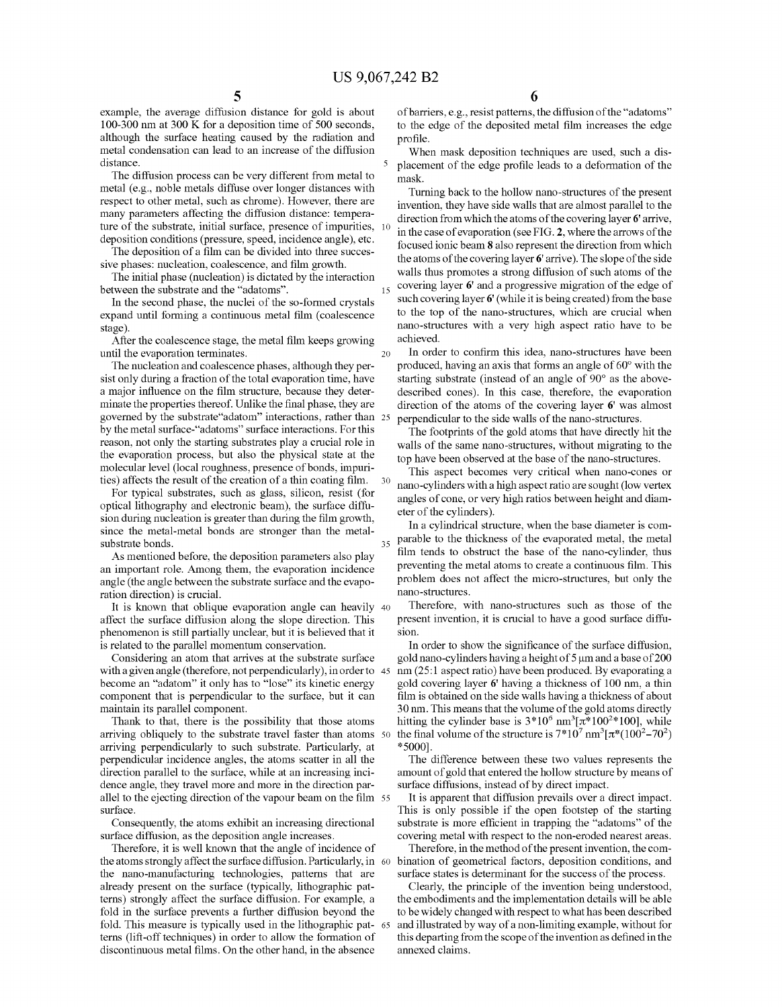5

15

example, the average diffusion distance for gold is about 100-300 nm at 300 K for a deposition time of 500 seconds, although the Surface heating caused by the radiation and metal condensation can lead to an increase of the diffusion distance.

The diffusion process can be very different from metal to metal (e.g., noble metals diffuse over longer distances with respect to other metal, such as chrome). However, there are many parameters affecting the diffusion distance: tempera deposition conditions (pressure, speed, incidence angle), etc. ture of the substrate, initial surface, presence of impurities, 10

The deposition of a film can be divided into three succes sive phases: nucleation, coalescence, and film growth.

The initial phase (nucleation) is dictated by the interaction between the substrate and the 'adatoms'.

In the second phase, the nuclei of the so-formed crystals expand until forming a continuous metal film (coalescence stage).

After the coalescence stage, the metal film keeps growing<br>til the evaporation terminates. until the evaporation terminates.

The nucleation and coalescence phases, although they per sist only during a fraction of the total evaporation time, have a major influence on the film structure, because they deter minate the properties thereof. Unlike the final phase, they are governed by the substrate'adatom' interactions, rather than 25 by the metal surface-"adatoms" surface interactions. For this reason, not only the starting substrates play a crucial role in the evaporation process, but also the physical state at the molecular level (local roughness, presence of bonds, impuri ties) affects the result of the creation of a thin coating film. 30

For typical substrates, such as glass, silicon, resist (for optical lithography and electronic beam), the surface diffu sion during nucleation is greater than during the film growth, since the metal-metal bonds are stronger than the metal substrate bonds.

As mentioned before, the deposition parameters also play an important role. Among them, the evaporation incidence angle (the angle between the substrate surface and the evaporation direction) is crucial.

It is known that oblique evaporation angle can heavily 40 affect the surface diffusion along the slope direction. This phenomenon is still partially unclear, but it is believed that it is related to the parallel momentum conservation.

Considering an atom that arrives at the substrate surface with a given angle (therefore, not perpendicularly), in order to 45 become an "adatom" it only has to "lose" its kinetic energy component that is perpendicular to the Surface, but it can maintain its parallel component.

Thank to that, there is the possibility that those atoms arriving obliquely to the substrate travel faster than atoms 50 arriving perpendicularly to such substrate. Particularly, at perpendicular incidence angles, the atoms scatter in all the direction parallel to the surface, while at an increasing incidence angle, they travel more and more in the direction par allel to the ejecting direction of the vapour beam on the film 55 surface.

Consequently, the atoms exhibit an increasing directional surface diffusion, as the deposition angle increases.

Therefore, it is well known that the angle of incidence of the atoms strongly affect the surface diffusion. Particularly, in 60 the nano-manufacturing technologies, patterns that are already present on the surface (typically, lithographic patterns) strongly affect the Surface diffusion. For example, a fold in the surface prevents a further diffusion beyond the fold. This measure is typically used in the lithographic pat- 65 terns (lift-off techniques) in order to allow the formation of discontinuous metal films. On the other hand, in the absence

6

of barriers, e.g., resist patterns, the diffusion of the "adatoms" to the edge of the deposited metal film increases the edge profile.

When mask deposition techniques are used, such a displacement of the edge profile leads to a deformation of the mask.

Turning back to the hollow nano-structures of the present invention, they have side walls that are almost parallel to the direction from which the atoms of the covering layer 6'arrive, in the case of evaporation (see FIG. 2, where the arrows of the focused ionic beam 8 also represent the direction from which the atoms of the covering layer 6'arrive). The slope of the side walls thus promotes a strong diffusion of such atoms of the covering layer 6' and a progressive migration of the edge of such covering layer 6' (while it is being created) from the base to the top of the nano-structures, which are crucial when nano-structures with a very high aspect ratio have to be achieved.

In order to confirm this idea, nano-structures have been produced, having an axis that forms an angle of 60° with the starting substrate (instead of an angle of 90° as the above described cones). In this case, therefore, the evaporation direction of the atoms of the covering layer 6' was almost perpendicular to the side walls of the nano-structures.

The footprints of the gold atoms that have directly hit the walls of the same nano-structures, without migrating to the top have been observed at the base of the nano-structures.

This aspect becomes very critical when nano-cones or nano-cylinders with a high aspect ratio are sought (low vertex angles of cone, or very high ratios between height and diam eter of the cylinders).

<sup>35</sup> parable to the thickness of the evaporated metal, the metal In a cylindrical structure, when the base diameter is com film tends to obstruct the base of the nano-cylinder, thus preventing the metal atoms to create a continuous film. This problem does not affect the micro-structures, but only the nano-Structures.

Therefore, with nano-structures such as those of the present invention, it is crucial to have a good surface diffu-Sion.

In order to show the significance of the surface diffusion, gold nano-cylinders having a height of  $5 \mu m$  and a base of  $200$ nm (25:1 aspect ratio) have been produced. By evaporating a gold covering layer 6' having a thickness of 100 nm, a thin film is obtained on the side walls having a thickness of about 30 nm. This means that the volume of the gold atoms directly hitting the cylinder base is  $3*10^6$  nm<sup>3</sup>[ $\pi*100^{2*}100$ ], while the final volume of the structure is  $7*10^7$  nm<sup>3</sup>[ $\pi*(100^2-70^2)$ ] \*5000).

The difference between these two values represents the amount of gold that entered the hollow structure by means of

surface diffusions, instead of by direct impact.<br>It is apparent that diffusion prevails over a direct impact. This is only possible if the open footstep of the starting substrate is more efficient in trapping the "adatoms" of the covering metal with respect to the non-eroded nearest areas.

Therefore, in the method of the present invention, the com bination of geometrical factors, deposition conditions, and surface states is determinant for the success of the process.

Clearly, the principle of the invention being understood, the embodiments and the implementation details will be able to be widely changed with respect to what has been described and illustrated by way of a non-limiting example, without for this departing from the scope of the invention as defined in the annexed claims.